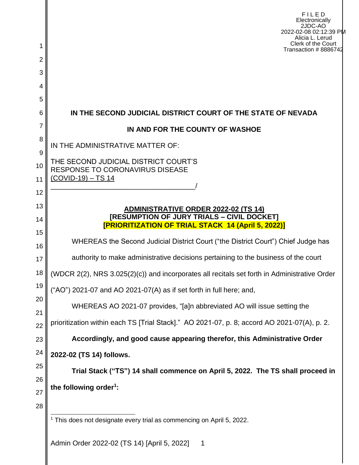|                     | FILED<br>Electronically<br>2JDC-AO<br>2022-02-08 02:12:39 PM<br>Alicia L. Lerud              |  |  |  |  |  |
|---------------------|----------------------------------------------------------------------------------------------|--|--|--|--|--|
| 1                   | Clerk of the Court<br>Transaction # 8886742                                                  |  |  |  |  |  |
| $\overline{2}$<br>3 |                                                                                              |  |  |  |  |  |
| 4                   |                                                                                              |  |  |  |  |  |
| 5                   |                                                                                              |  |  |  |  |  |
| 6                   | IN THE SECOND JUDICIAL DISTRICT COURT OF THE STATE OF NEVADA                                 |  |  |  |  |  |
| 7                   | IN AND FOR THE COUNTY OF WASHOE                                                              |  |  |  |  |  |
| 8                   | IN THE ADMINISTRATIVE MATTER OF:                                                             |  |  |  |  |  |
| 9                   | THE SECOND JUDICIAL DISTRICT COURT'S                                                         |  |  |  |  |  |
| 10                  | <b>RESPONSE TO CORONAVIRUS DISEASE</b>                                                       |  |  |  |  |  |
| 11                  | $(COVID-19) - TS 14$                                                                         |  |  |  |  |  |
| 12<br>13            |                                                                                              |  |  |  |  |  |
| 14                  | <b>ADMINISTRATIVE ORDER 2022-02 (TS 14)</b><br>[RESUMPTION OF JURY TRIALS - CIVIL DOCKET]    |  |  |  |  |  |
| 15                  | <b>[PRIORITIZATION OF TRIAL STACK 14 (April 5, 2022)]</b>                                    |  |  |  |  |  |
| 16                  | WHEREAS the Second Judicial District Court ("the District Court") Chief Judge has            |  |  |  |  |  |
| 17                  | authority to make administrative decisions pertaining to the business of the court           |  |  |  |  |  |
| 18                  | (WDCR 2(2), NRS 3.025(2)(c)) and incorporates all recitals set forth in Administrative Order |  |  |  |  |  |
| 19                  | ("AO") 2021-07 and AO 2021-07(A) as if set forth in full here; and,                          |  |  |  |  |  |
| 20                  | WHEREAS AO 2021-07 provides, "[a]n abbreviated AO will issue setting the                     |  |  |  |  |  |
| 21<br>22            | prioritization within each TS [Trial Stack]." AO 2021-07, p. 8; accord AO 2021-07(A), p. 2.  |  |  |  |  |  |
| 23                  | Accordingly, and good cause appearing therefor, this Administrative Order                    |  |  |  |  |  |
| 24                  | 2022-02 (TS 14) follows.                                                                     |  |  |  |  |  |
| 25                  | Trial Stack ("TS") 14 shall commence on April 5, 2022. The TS shall proceed in               |  |  |  |  |  |
| 26                  | the following order <sup>1</sup> :                                                           |  |  |  |  |  |
| 27                  |                                                                                              |  |  |  |  |  |
| 28                  |                                                                                              |  |  |  |  |  |
|                     | <sup>1</sup> This does not designate every trial as commencing on April 5, 2022.             |  |  |  |  |  |
|                     | Admin Order 2022-02 (TS 14) [April 5, 2022]<br>$\mathbf 1$                                   |  |  |  |  |  |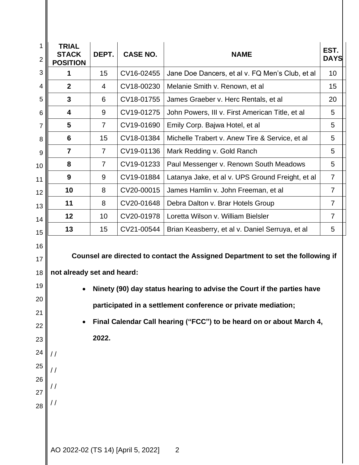| 1<br>$\overline{2}$ | <b>TRIAL</b><br><b>STACK</b><br><b>POSITION</b>                                 | DEPT.          | <b>CASE NO.</b>                    | <b>NAME</b>                                                            | EST.<br><b>DAYS</b> |  |  |  |
|---------------------|---------------------------------------------------------------------------------|----------------|------------------------------------|------------------------------------------------------------------------|---------------------|--|--|--|
| 3                   | 1                                                                               | 15             | CV16-02455                         | Jane Doe Dancers, et al v. FQ Men's Club, et al                        | 10                  |  |  |  |
| 4                   | $\mathbf{2}$                                                                    | 4              | CV18-00230                         | Melanie Smith v. Renown, et al                                         | 15                  |  |  |  |
| 5                   | 3                                                                               | 6              | CV18-01755                         | James Graeber v. Herc Rentals, et al                                   | 20                  |  |  |  |
| 6                   | 4                                                                               | 9              | CV19-01275                         | John Powers, III v. First American Title, et al                        | 5                   |  |  |  |
| $\overline{7}$      | $\overline{\mathbf{5}}$                                                         | $\overline{7}$ | CV19-01690                         | Emily Corp. Bajwa Hotel, et al                                         | 5                   |  |  |  |
| 8                   | 6                                                                               | 15             | CV18-01384                         | Michelle Trabert v. Anew Tire & Service, et al                         | 5                   |  |  |  |
| 9                   | $\overline{7}$                                                                  | $\overline{7}$ | CV19-01136                         | Mark Redding v. Gold Ranch                                             | 5                   |  |  |  |
| 10                  | 8                                                                               | $\overline{7}$ | CV19-01233                         | Paul Messenger v. Renown South Meadows                                 | 5                   |  |  |  |
| 11                  | 9                                                                               | 9              | CV19-01884                         | Latanya Jake, et al v. UPS Ground Freight, et al                       | $\overline{7}$      |  |  |  |
| 12                  | 10                                                                              | 8              | CV20-00015                         | James Hamlin v. John Freeman, et al                                    | $\overline{7}$      |  |  |  |
| 13                  | 11                                                                              | 8              | CV20-01648                         | Debra Dalton v. Brar Hotels Group                                      | $\overline{7}$      |  |  |  |
| 14                  | 12                                                                              | 10             | CV20-01978                         | Loretta Wilson v. William Bielsler                                     | $\overline{7}$      |  |  |  |
| 15                  | 13                                                                              | 15             | CV21-00544                         | Brian Keasberry, et al v. Daniel Serruya, et al                        | 5                   |  |  |  |
| 16<br>17            | Counsel are directed to contact the Assigned Department to set the following if |                |                                    |                                                                        |                     |  |  |  |
| 18                  | not already set and heard:                                                      |                |                                    |                                                                        |                     |  |  |  |
| 19                  |                                                                                 |                |                                    | Ninety (90) day status hearing to advise the Court if the parties have |                     |  |  |  |
| 20                  |                                                                                 |                |                                    | participated in a settlement conference or private mediation;          |                     |  |  |  |
| 21                  | Final Calendar Call hearing ("FCC") to be heard on or about March 4,            |                |                                    |                                                                        |                     |  |  |  |
| 22                  |                                                                                 | 2022.          |                                    |                                                                        |                     |  |  |  |
| 23                  |                                                                                 |                |                                    |                                                                        |                     |  |  |  |
| 24                  | $\frac{1}{2}$                                                                   |                |                                    |                                                                        |                     |  |  |  |
| 25                  |                                                                                 |                |                                    |                                                                        |                     |  |  |  |
| 26                  |                                                                                 |                |                                    |                                                                        |                     |  |  |  |
| 27                  |                                                                                 |                |                                    |                                                                        |                     |  |  |  |
| 28                  |                                                                                 |                |                                    |                                                                        |                     |  |  |  |
|                     |                                                                                 |                |                                    |                                                                        |                     |  |  |  |
|                     |                                                                                 |                |                                    |                                                                        |                     |  |  |  |
|                     |                                                                                 |                | AO 2022-02 (TS 14) [April 5, 2022] | 2                                                                      |                     |  |  |  |